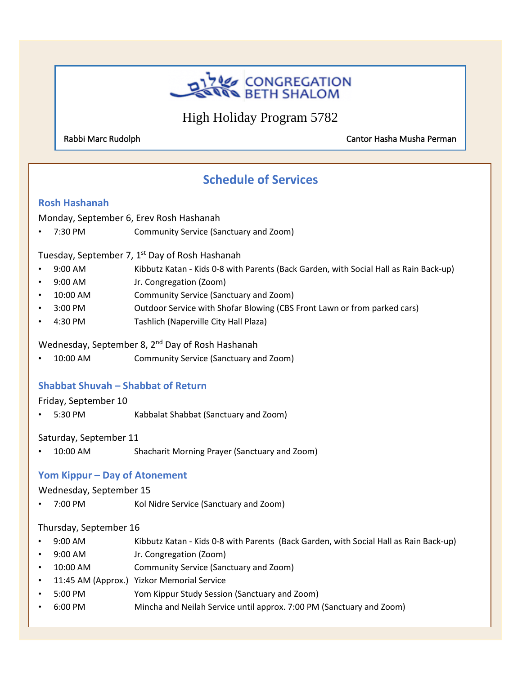

High Holiday Program 5782

Rabbi Marc Rudolph Cantor Hasha Musha Perman

# j **Schedule of Services**

j

#### **Rosh Hashanah**

Monday, September 6, Erev Rosh Hashanah

• 7:30 PM Community Service (Sanctuary and Zoom)

Tuesday, September 7, 1<sup>st</sup> Day of Rosh Hashanah

- 9:00 AM Kibbutz Katan Kids 0-8 with Parents (Back Garden, with Social Hall as Rain Back-up)
- 9:00 AM Jr. Congregation (Zoom)
- 10:00 AM Community Service (Sanctuary and Zoom)
- 3:00 PM Outdoor Service with Shofar Blowing (CBS Front Lawn or from parked cars)
- 4:30 PM Tashlich (Naperville City Hall Plaza)

Wednesday, September 8, 2<sup>nd</sup> Day of Rosh Hashanah

• 10:00 AM Community Service (Sanctuary and Zoom)

#### **Shabbat Shuvah – Shabbat of Return**

#### Friday, September 10

• 5:30 PM Kabbalat Shabbat (Sanctuary and Zoom)

Saturday, September 11

• 10:00 AM Shacharit Morning Prayer (Sanctuary and Zoom)

#### **Yom Kippur – Day of Atonement**

#### Wednesday, September 15

• 7:00 PM Kol Nidre Service (Sanctuary and Zoom)

#### Thursday, September 16

• 9:00 AM Kibbutz Katan - Kids 0-8 with Parents (Back Garden, with Social Hall as Rain Back-up)

4

- 9:00 AM Jr. Congregation (Zoom)
- 10:00 AM Community Service (Sanctuary and Zoom)
- 11:45 AM (Approx.) Yizkor Memorial Service
- 5:00 PM Yom Kippur Study Session (Sanctuary and Zoom)
- 6:00 PM Mincha and Neilah Service until approx. 7:00 PM (Sanctuary and Zoom)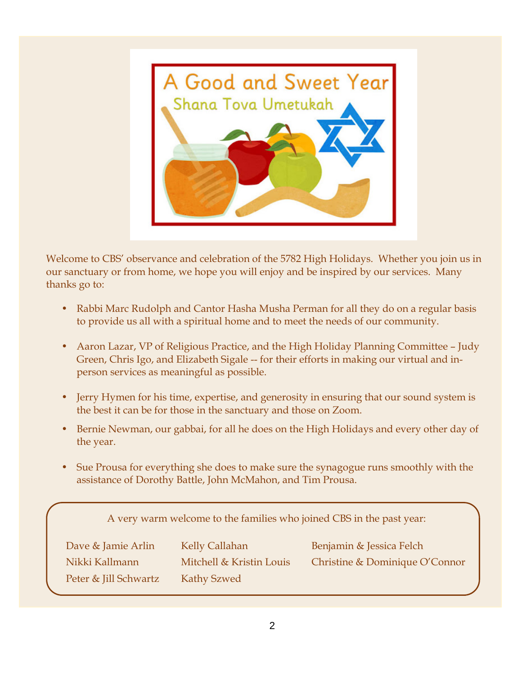

Welcome to CBS' observance and celebration of the 5782 High Holidays. Whether you join us in our sanctuary or from home, we hope you will enjoy and be inspired by our services. Many thanks go to:

- Rabbi Marc Rudolph and Cantor Hasha Musha Perman for all they do on a regular basis to provide us all with a spiritual home and to meet the needs of our community.
- Aaron Lazar, VP of Religious Practice, and the High Holiday Planning Committee Judy Green, Chris Igo, and Elizabeth Sigale -- for their efforts in making our virtual and inperson services as meaningful as possible.
- Jerry Hymen for his time, expertise, and generosity in ensuring that our sound system is the best it can be for those in the sanctuary and those on Zoom.
- Bernie Newman, our gabbai, for all he does on the High Holidays and every other day of the year.
- Sue Prousa for everything she does to make sure the synagogue runs smoothly with the assistance of Dorothy Battle, John McMahon, and Tim Prousa.

A very warm welcome to the families who joined CBS in the past year:

| Dave & Jamie Arlin    | Kelly Callahan           | Benjamin & Jessica Felch       |
|-----------------------|--------------------------|--------------------------------|
| Nikki Kallmann        | Mitchell & Kristin Louis | Christine & Dominique O'Connor |
| Peter & Jill Schwartz | Kathy Szwed              |                                |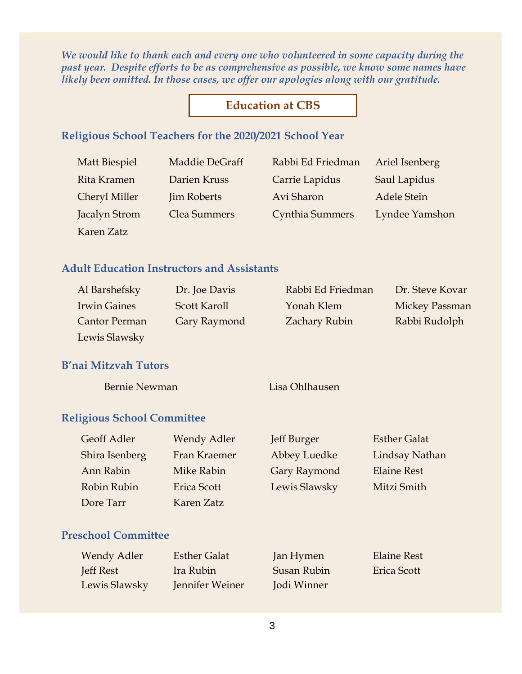*We would like to thank each and every one who volunteered in some capacity during the past year. Despite efforts to be as comprehensive as possible, we know some names have likely been omitted. In those cases, we offer our apologies along with our gratitude.*

### **Education at CBS**

#### **Religious School Teachers for the 2020/2021 School Year**

Karen Zatz

Matt Biespiel Maddie DeGraff Rabbi Ed Friedman Ariel Isenberg Rita Kramen Darien Kruss Carrie Lapidus Saul Lapidus Cheryl Miller Jim Roberts Avi Sharon Adele Stein Jacalyn Strom Clea Summers Cynthia Summers Lyndee Yamshon

### **Adult Education Instructors and Assistants**

| Al Barshefsky        | Dr. Joe Davis       | Rabbi Ed Friedman    | Dr. Steve Kovar |
|----------------------|---------------------|----------------------|-----------------|
| <b>Irwin Gaines</b>  | Scott Karoll        | Yonah Klem           | Mickey Passman  |
| <b>Cantor Perman</b> | <b>Gary Raymond</b> | <b>Zachary Rubin</b> | Rabbi Rudolph   |
| Lewis Slawsky        |                     |                      |                 |

#### **B'nai Mitzvah Tutors**

Bernie Newman Lisa Ohlhausen

#### **Religious School Committee**

| <b>Geoff Adler</b> | <b>Wendy Adler</b> | Jeff Burger   | <b>Esther Galat</b> |
|--------------------|--------------------|---------------|---------------------|
| Shira Isenberg     | Fran Kraemer       | Abbey Luedke  | Lindsay Nathan      |
| Ann Rabin          | Mike Rabin         | Gary Raymond  | <b>Elaine Rest</b>  |
| Robin Rubin        | <b>Erica Scott</b> | Lewis Slawsky | Mitzi Smith         |
| Dore Tarr          | Karen Zatz         |               |                     |

### **Preschool Committee**

| <b>Wendy Adler</b> | <b>Esther Galat</b> | Jan Hymen   | <b>Elaine Rest</b> |
|--------------------|---------------------|-------------|--------------------|
| Jeff Rest          | Ira Rubin           | Susan Rubin | Erica Scott        |
| Lewis Slawsky      | Jennifer Weiner     | Jodi Winner |                    |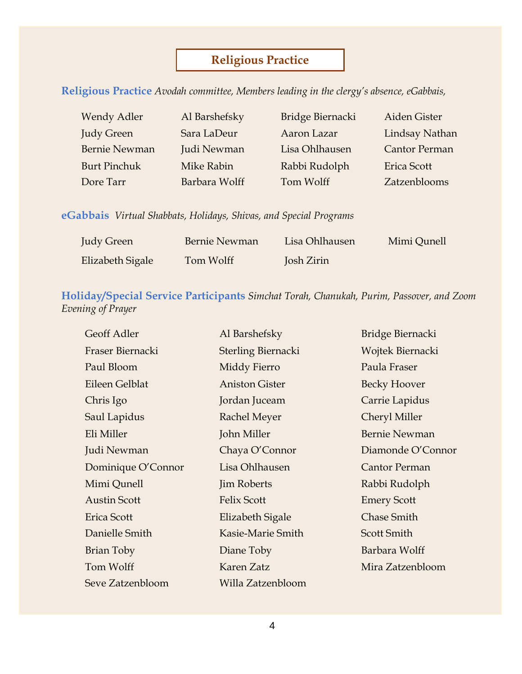# **Religious Practice**

**Religious Practice** *Avodah committee, Members leading in the clergy's absence, eGabbais,*

| <b>Wendy Adler</b>   | Al Barshefsky | Bridge Biernacki | Aiden Gister          |
|----------------------|---------------|------------------|-----------------------|
| <b>Judy Green</b>    | Sara LaDeur   | Aaron Lazar      | <b>Lindsay Nathan</b> |
| <b>Bernie Newman</b> | Judi Newman   | Lisa Ohlhausen   | <b>Cantor Perman</b>  |
| <b>Burt Pinchuk</b>  | Mike Rabin    | Rabbi Rudolph    | <b>Erica Scott</b>    |
| Dore Tarr            | Barbara Wolff | Tom Wolff        | Zatzenblooms          |

**eGabbais** *Virtual Shabbats, Holidays, Shivas, and Special Programs*

| <b>Judy Green</b> | Bernie Newman | Lisa Ohlhausen | Mimi Qunell |
|-------------------|---------------|----------------|-------------|
| Elizabeth Sigale  | Tom Wolff     | Josh Zirin     |             |

### **Holiday/Special Service Participants** *Simchat Torah, Chanukah, Purim, Passover, and Zoom Evening of Prayer*

| Geoff Adler         | Al Barshefsky         | Bridge Biernacki     |
|---------------------|-----------------------|----------------------|
| Fraser Biernacki    | Sterling Biernacki    | Wojtek Biernacki     |
| Paul Bloom          | Middy Fierro          | Paula Fraser         |
| Eileen Gelblat      | <b>Aniston Gister</b> | <b>Becky Hoover</b>  |
| Chris Igo           | Jordan Juceam         | Carrie Lapidus       |
| Saul Lapidus        | <b>Rachel Meyer</b>   | <b>Cheryl Miller</b> |
| Eli Miller          | John Miller           | <b>Bernie Newman</b> |
| Judi Newman         | Chaya O'Connor        | Diamonde O'Connor    |
| Dominique O'Connor  | Lisa Ohlhausen        | <b>Cantor Perman</b> |
| Mimi Qunell         | <b>Jim Roberts</b>    | Rabbi Rudolph        |
| <b>Austin Scott</b> | <b>Felix Scott</b>    | <b>Emery Scott</b>   |
| Erica Scott         | Elizabeth Sigale      | <b>Chase Smith</b>   |
| Danielle Smith      | Kasie-Marie Smith     | <b>Scott Smith</b>   |
| Brian Toby          | Diane Toby            | Barbara Wolff        |
| Tom Wolff           | Karen Zatz            | Mira Zatzenbloom     |
| Seve Zatzenbloom    | Willa Zatzenbloom     |                      |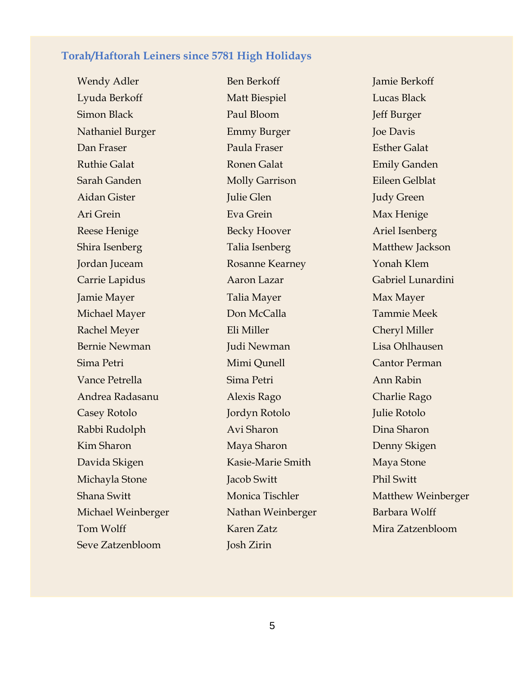### **Torah/Haftorah Leiners since 5781 High Holidays**

Lyuda Berkoff Matt Biespiel Lucas Black Simon Black Paul Bloom Jeff Burger Nathaniel Burger Emmy Burger Joe Davis Dan Fraser Paula Fraser Esther Galat Ruthie Galat **Ronen Galat** Ronen Galat **Emily Ganden** Sarah Ganden Molly Garrison Eileen Gelblat Aidan Gister **Julie Glen** Julie Glen Judy Green Ari Grein Eva Grein Max Henige Reese Henige Becky Hoover Ariel Isenberg Shira Isenberg Talia Isenberg Talia Isenberg Matthew Jackson Jordan Juceam Rosanne Kearney Yonah Klem Carrie Lapidus **Aaron Lazar** Gabriel Lunardini Jamie Mayer **Talia Mayer** Talia Mayer Max Mayer Michael Mayer Don McCalla Tammie Meek Rachel Meyer Eli Miller Eli Miller Cheryl Miller Bernie Newman Mudi Newman Dudi Newman Lisa Ohlhausen Sima Petri Mimi Qunell Cantor Perman Vance Petrella Sima Petri Ann Rabin Andrea Radasanu Alexis Rago Charlie Rago Casey Rotolo Jordyn Rotolo Julie Rotolo Rabbi Rudolph Avi Sharon Avi Sharon Dina Sharon Kim Sharon Maya Sharon Denny Skigen Davida Skigen Kasie-Marie Smith Maya Stone Michayla Stone Jacob Switt Phil Switt Michael Weinberger Nathan Weinberger Barbara Wolff Tom Wolff Karen Zatz Mira Zatzenbloom Seve Zatzenbloom Josh Zirin

Wendy Adler Ben Berkoff Jamie Berkoff Jamie Berkoff

Shana Switt Monica Tischler Matthew Weinberger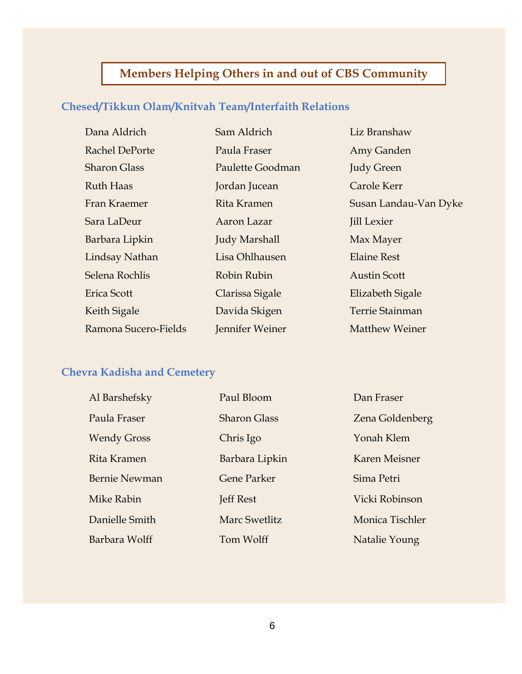# **Members Helping Others in and out of CBS Community**

# **Chesed/Tikkun Olam/Knitvah Team/Interfaith Relations**

| Dana Aldrich         | Sam Aldrich          | Liz Branshaw           |
|----------------------|----------------------|------------------------|
| Rachel DePorte       | Paula Fraser         | Amy Ganden             |
| <b>Sharon Glass</b>  | Paulette Goodman     | <b>Judy Green</b>      |
| <b>Ruth Haas</b>     | Jordan Jucean        | Carole Kerr            |
| Fran Kraemer         | Rita Kramen          | Susan Landau-Van Dyke  |
| Sara LaDeur          | Aaron Lazar          | <b>Jill Lexier</b>     |
| Barbara Lipkin       | <b>Judy Marshall</b> | Max Mayer              |
| Lindsay Nathan       | Lisa Ohlhausen       | <b>Elaine Rest</b>     |
| Selena Rochlis       | Robin Rubin          | <b>Austin Scott</b>    |
| Erica Scott          | Clarissa Sigale      | Elizabeth Sigale       |
| Keith Sigale         | Davida Skigen        | <b>Terrie Stainman</b> |
| Ramona Sucero-Fields | Jennifer Weiner      | <b>Matthew Weiner</b>  |

# **Chevra Kadisha and Cemetery**

| Al Barshefsky        | Paul Bloom           | Dan Fraser      |
|----------------------|----------------------|-----------------|
| Paula Fraser         | <b>Sharon Glass</b>  | Zena Goldenberg |
| <b>Wendy Gross</b>   | Chris Igo            | Yonah Klem      |
| Rita Kramen          | Barbara Lipkin       | Karen Meisner   |
| <b>Bernie Newman</b> | <b>Gene Parker</b>   | Sima Petri      |
| Mike Rabin           | Jeff Rest            | Vicki Robinson  |
| Danielle Smith       | <b>Marc Swetlitz</b> | Monica Tischler |
| Barbara Wolff        | Tom Wolff            | Natalie Young   |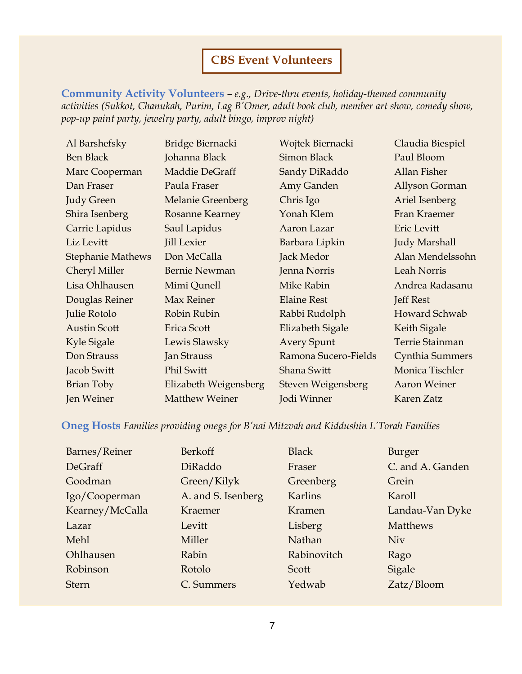# **CBS Event Volunteers**

**Community Activity Volunteers** *– e.g., Drive-thru events, holiday-themed community activities (Sukkot, Chanukah, Purim, Lag B'Omer, adult book club, member art show, comedy show, pop-up paint party, jewelry party, adult bingo, improv night)*

| Al Barshefsky            | Bridge Biernacki         | Wojtek Biernacki     | Claudia Biespiel       |
|--------------------------|--------------------------|----------------------|------------------------|
| <b>Ben Black</b>         | Johanna Black            | <b>Simon Black</b>   | Paul Bloom             |
| Marc Cooperman           | Maddie DeGraff           | Sandy DiRaddo        | <b>Allan Fisher</b>    |
| Dan Fraser               | Paula Fraser             | Amy Ganden           | Allyson Gorman         |
| <b>Judy Green</b>        | <b>Melanie Greenberg</b> | Chris Igo            | Ariel Isenberg         |
| Shira Isenberg           | <b>Rosanne Kearney</b>   | Yonah Klem           | Fran Kraemer           |
| Carrie Lapidus           | Saul Lapidus             | Aaron Lazar          | Eric Levitt            |
| Liz Levitt               | <b>Jill Lexier</b>       | Barbara Lipkin       | <b>Judy Marshall</b>   |
| <b>Stephanie Mathews</b> | Don McCalla              | Jack Medor           | Alan Mendelssohn       |
| Cheryl Miller            | <b>Bernie Newman</b>     | Jenna Norris         | Leah Norris            |
| Lisa Ohlhausen           | Mimi Qunell              | Mike Rabin           | Andrea Radasanu        |
| Douglas Reiner           | Max Reiner               | <b>Elaine Rest</b>   | <b>Jeff Rest</b>       |
| Julie Rotolo             | Robin Rubin              | Rabbi Rudolph        | Howard Schwab          |
| <b>Austin Scott</b>      | Erica Scott              | Elizabeth Sigale     | Keith Sigale           |
| Kyle Sigale              | Lewis Slawsky            | <b>Avery Spunt</b>   | <b>Terrie Stainman</b> |
| Don Strauss              | <b>Jan Strauss</b>       | Ramona Sucero-Fields | Cynthia Summers        |
| Jacob Switt              | <b>Phil Switt</b>        | Shana Switt          | Monica Tischler        |
| Brian Toby               | Elizabeth Weigensberg    | Steven Weigensberg   | <b>Aaron Weiner</b>    |
| Jen Weiner               | <b>Matthew Weiner</b>    | Jodi Winner          | Karen Zatz             |

### **Oneg Hosts** *Families providing onegs for B'nai Mitzvah and Kiddushin L'Torah Families*

| Barnes/Reiner   | Berkoff            | <b>Black</b>   | Burger           |
|-----------------|--------------------|----------------|------------------|
| DeGraff         | DiRaddo            | Fraser         | C. and A. Ganden |
| Goodman         | Green/Kilyk        | Greenberg      | Grein            |
| Igo/Cooperman   | A. and S. Isenberg | <b>Karlins</b> | Karoll           |
| Kearney/McCalla | Kraemer            | Kramen         | Landau-Van Dyke  |
| Lazar           | Levitt             | Lisberg        | <b>Matthews</b>  |
| Mehl            | Miller             | Nathan         | Niv              |
| Ohlhausen       | Rabin              | Rabinovitch    | Rago             |
| Robinson        | Rotolo             | Scott          | Sigale           |
| <b>Stern</b>    | C. Summers         | Yedwab         | Zatz/Bloom       |
|                 |                    |                |                  |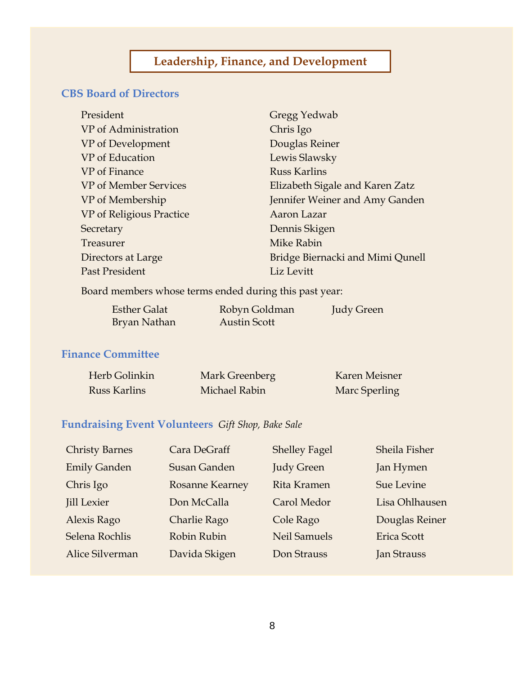# **CBS Board of Directors**

| Gregg Yedwab                     |
|----------------------------------|
| Chris Igo                        |
| Douglas Reiner                   |
| Lewis Slawsky                    |
| <b>Russ Karlins</b>              |
| Elizabeth Sigale and Karen Zatz  |
| Jennifer Weiner and Amy Ganden   |
| Aaron Lazar                      |
| Dennis Skigen                    |
| Mike Rabin                       |
| Bridge Biernacki and Mimi Qunell |
| Liz Levitt                       |
|                                  |

Board members whose terms ended during this past year:

| <b>Esther Galat</b> | Robyn Goldman | Judy Green |
|---------------------|---------------|------------|
| Bryan Nathan        | Austin Scott  |            |

# **Finance Committee**

| Herb Golinkin | Mark Greenberg | Karen Meisner |
|---------------|----------------|---------------|
| Russ Karlins  | Michael Rabin  | Marc Sperling |

# **Fundraising Event Volunteers** *Gift Shop, Bake Sale*

| <b>Christy Barnes</b> | Cara DeGraff           | <b>Shelley Fagel</b> | Sheila Fisher      |
|-----------------------|------------------------|----------------------|--------------------|
| <b>Emily Ganden</b>   | <b>Susan Ganden</b>    | <b>Judy Green</b>    | Jan Hymen          |
| Chris Igo             | <b>Rosanne Kearney</b> | Rita Kramen          | Sue Levine         |
| <b>Jill Lexier</b>    | Don McCalla            | Carol Medor          | Lisa Ohlhausen     |
| Alexis Rago           | Charlie Rago           | Cole Rago            | Douglas Reiner     |
| Selena Rochlis        | Robin Rubin            | <b>Neil Samuels</b>  | <b>Erica Scott</b> |
| Alice Silverman       | Davida Skigen          | Don Strauss          | <b>Jan Strauss</b> |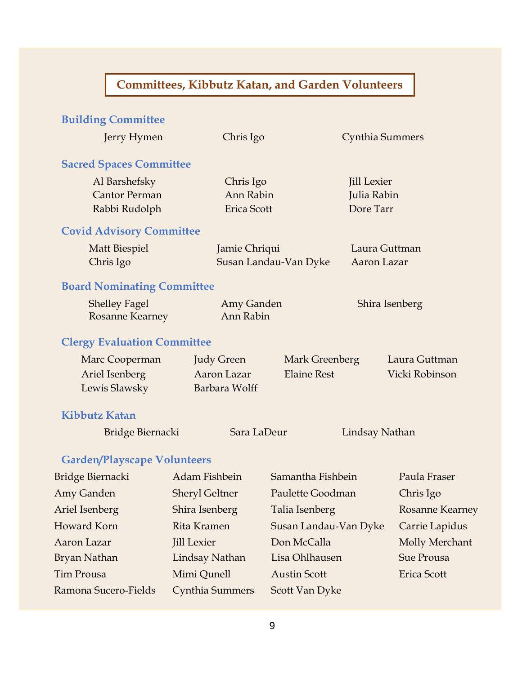# **Committees, Kibbutz Katan, and Garden Volunteers**

# **Building Committee**

| Jerry Hymen                        | Chris Igo              |                       | Cynthia Summers    |                        |
|------------------------------------|------------------------|-----------------------|--------------------|------------------------|
| <b>Sacred Spaces Committee</b>     |                        |                       |                    |                        |
| Al Barshefsky                      | Chris Igo              |                       | <b>Jill Lexier</b> |                        |
| <b>Cantor Perman</b>               | Ann Rabin              |                       | Julia Rabin        |                        |
| Rabbi Rudolph                      | <b>Erica Scott</b>     |                       | Dore Tarr          |                        |
| <b>Covid Advisory Committee</b>    |                        |                       |                    |                        |
| <b>Matt Biespiel</b>               | Jamie Chriqui          |                       | Laura Guttman      |                        |
| Chris Igo                          |                        | Susan Landau-Van Dyke | Aaron Lazar        |                        |
| <b>Board Nominating Committee</b>  |                        |                       |                    |                        |
| <b>Shelley Fagel</b>               | Amy Ganden             |                       | Shira Isenberg     |                        |
| <b>Rosanne Kearney</b>             | Ann Rabin              |                       |                    |                        |
| <b>Clergy Evaluation Committee</b> |                        |                       |                    |                        |
| Marc Cooperman                     | <b>Judy Green</b>      | Mark Greenberg        |                    | Laura Guttman          |
| Ariel Isenberg                     | Aaron Lazar            | <b>Elaine Rest</b>    |                    | Vicki Robinson         |
| Lewis Slawsky                      | Barbara Wolff          |                       |                    |                        |
| <b>Kibbutz Katan</b>               |                        |                       |                    |                        |
| Bridge Biernacki                   | Sara LaDeur            |                       | Lindsay Nathan     |                        |
| <b>Garden/Playscape Volunteers</b> |                        |                       |                    |                        |
| <b>Bridge Biernacki</b>            | Adam Fishbein          | Samantha Fishbein     |                    | Paula Fraser           |
| Amy Ganden                         | <b>Sheryl Geltner</b>  | Paulette Goodman      |                    | Chris Igo              |
| Ariel Isenberg                     | Shira Isenberg         | Talia Isenberg        |                    | <b>Rosanne Kearney</b> |
| Howard Korn                        | Rita Kramen            | Susan Landau-Van Dyke |                    | Carrie Lapidus         |
| Aaron Lazar                        | <b>Jill Lexier</b>     | Don McCalla           |                    | Molly Merchant         |
| Bryan Nathan                       | Lindsay Nathan         | Lisa Ohlhausen        |                    | Sue Prousa             |
| Tim Prousa                         | Mimi Qunell            | <b>Austin Scott</b>   |                    | Erica Scott            |
| Ramona Sucero-Fields               | <b>Cynthia Summers</b> | Scott Van Dyke        |                    |                        |
|                                    |                        |                       |                    |                        |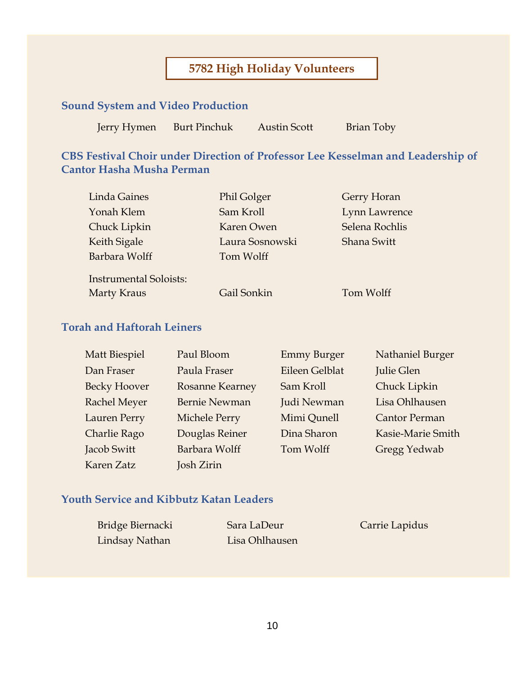# **5782 High Holiday Volunteers**

# **Sound System and Video Production**

Jerry Hymen Burt Pinchuk Austin Scott Brian Toby

**CBS Festival Choir under Direction of Professor Lee Kesselman and Leadership of Cantor Hasha Musha Perman**

| <b>Linda Gaines</b>           | <b>Phil Golger</b> | Gerry Horan    |
|-------------------------------|--------------------|----------------|
| Yonah Klem                    | Sam Kroll          | Lynn Lawrence  |
| Chuck Lipkin                  | Karen Owen         | Selena Rochlis |
| Keith Sigale                  | Laura Sosnowski    | Shana Switt    |
| Barbara Wolff                 | Tom Wolff          |                |
| <b>Instrumental Soloists:</b> |                    |                |
| <b>Marty Kraus</b>            | Gail Sonkin        | Tom Wolff      |

### **Torah and Haftorah Leiners**

| <b>Matt Biespiel</b> | Paul Bloom             | <b>Emmy Burger</b> | Nathaniel Burger     |
|----------------------|------------------------|--------------------|----------------------|
| Dan Fraser           | Paula Fraser           | Eileen Gelblat     | Julie Glen           |
| <b>Becky Hoover</b>  | <b>Rosanne Kearney</b> | Sam Kroll          | Chuck Lipkin         |
| <b>Rachel Meyer</b>  | <b>Bernie Newman</b>   | Judi Newman        | Lisa Ohlhausen       |
| Lauren Perry         | Michele Perry          | Mimi Qunell        | <b>Cantor Perman</b> |
| Charlie Rago         | Douglas Reiner         | Dina Sharon        | Kasie-Marie Smith    |
| Jacob Switt          | Barbara Wolff          | Tom Wolff          | Gregg Yedwab         |
| Karen Zatz           | Josh Zirin             |                    |                      |

### **Youth Service and Kibbutz Katan Leaders**

Bridge Biernacki Sara LaDeur Carrie Lapidus Lindsay Nathan Lisa Ohlhausen